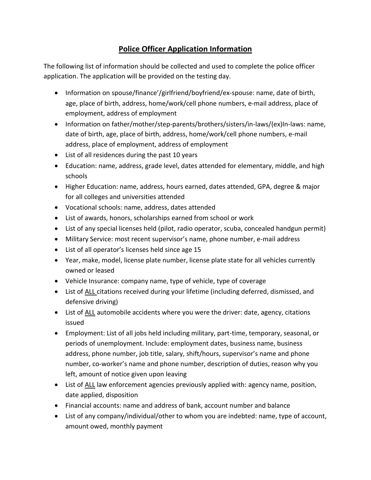## **Police Officer Application Information**

The following list of information should be collected and used to complete the police officer application. The application will be provided on the testing day.

- Information on spouse/finance'/girlfriend/boyfriend/ex-spouse: name, date of birth, age, place of birth, address, home/work/cell phone numbers, e-mail address, place of employment, address of employment
- Information on father/mother/step-parents/brothers/sisters/in-laws/(ex)In-laws: name, date of birth, age, place of birth, address, home/work/cell phone numbers, e-mail address, place of employment, address of employment
- List of all residences during the past 10 years
- Education: name, address, grade level, dates attended for elementary, middle, and high schools
- Higher Education: name, address, hours earned, dates attended, GPA, degree & major for all colleges and universities attended
- Vocational schools: name, address, dates attended
- List of awards, honors, scholarships earned from school or work
- List of any special licenses held (pilot, radio operator, scuba, concealed handgun permit)
- Military Service: most recent supervisor's name, phone number, e-mail address
- List of all operator's licenses held since age 15
- Year, make, model, license plate number, license plate state for all vehicles currently owned or leased
- Vehicle Insurance: company name, type of vehicle, type of coverage
- List of ALL citations received during your lifetime (including deferred, dismissed, and defensive driving)
- List of ALL automobile accidents where you were the driver: date, agency, citations issued
- Employment: List of all jobs held including military, part-time, temporary, seasonal, or periods of unemployment. Include: employment dates, business name, business address, phone number, job title, salary, shift/hours, supervisor's name and phone number, co-worker's name and phone number, description of duties, reason why you left, amount of notice given upon leaving
- List of ALL law enforcement agencies previously applied with: agency name, position, date applied, disposition
- Financial accounts: name and address of bank, account number and balance
- List of any company/individual/other to whom you are indebted: name, type of account, amount owed, monthly payment